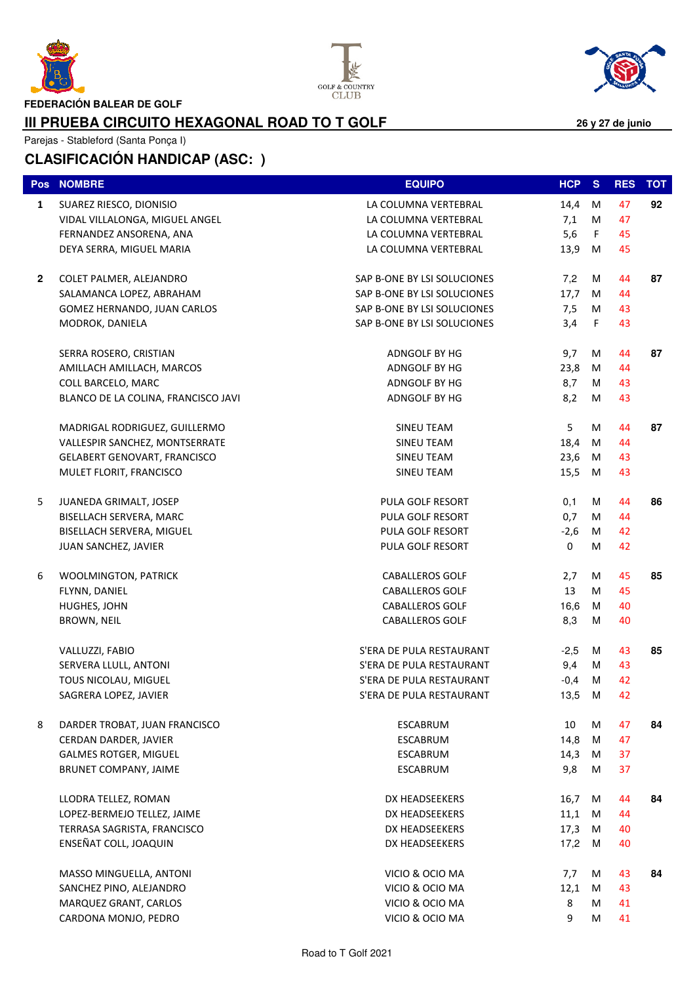





**FEDERACIÓN BALEAR DE GOLF**

#### **III PRUEBA CIRCUITO HEXAGONAL ROAD TO T GOLF**

Parejas - Stableford (Santa Ponça I)

|   | Pos NOMBRE                          | <b>EQUIPO</b>               | <b>HCP</b>  | <b>S</b> | <b>RES</b> | <b>TOT</b> |
|---|-------------------------------------|-----------------------------|-------------|----------|------------|------------|
| 1 | SUAREZ RIESCO, DIONISIO             | LA COLUMNA VERTEBRAL        | 14,4        | M        | 47         | 92         |
|   | VIDAL VILLALONGA, MIGUEL ANGEL      | LA COLUMNA VERTEBRAL        | 7,1         | М        | 47         |            |
|   | FERNANDEZ ANSORENA, ANA             | LA COLUMNA VERTEBRAL        | 5,6         | F.       | 45         |            |
|   | DEYA SERRA, MIGUEL MARIA            | LA COLUMNA VERTEBRAL        | 13,9        | M        | 45         |            |
| 2 | COLET PALMER, ALEJANDRO             | SAP B-ONE BY LSI SOLUCIONES | 7,2         | м        | 44         | 87         |
|   | SALAMANCA LOPEZ, ABRAHAM            | SAP B-ONE BY LSI SOLUCIONES | 17,7        | M        | 44         |            |
|   | GOMEZ HERNANDO, JUAN CARLOS         | SAP B-ONE BY LSI SOLUCIONES | 7,5         | M        | 43         |            |
|   | MODROK, DANIELA                     | SAP B-ONE BY LSI SOLUCIONES | 3,4         | F        | 43         |            |
|   | SERRA ROSERO, CRISTIAN              | ADNGOLF BY HG               | 9,7         | М        | 44         | 87         |
|   | AMILLACH AMILLACH, MARCOS           | ADNGOLF BY HG               | 23,8        | M        | 44         |            |
|   | COLL BARCELO, MARC                  | ADNGOLF BY HG               | 8,7         | м        | 43         |            |
|   | BLANCO DE LA COLINA, FRANCISCO JAVI | ADNGOLF BY HG               | 8,2         | M        | 43         |            |
|   | MADRIGAL RODRIGUEZ, GUILLERMO       | SINEU TEAM                  | 5           | M        | 44         | 87         |
|   | VALLESPIR SANCHEZ, MONTSERRATE      | SINEU TEAM                  | 18,4        | M        | 44         |            |
|   | <b>GELABERT GENOVART, FRANCISCO</b> | SINEU TEAM                  | 23,6        | M        | 43         |            |
|   | MULET FLORIT, FRANCISCO             | <b>SINEU TEAM</b>           | 15,5        | M        | 43         |            |
| 5 | JUANEDA GRIMALT, JOSEP              | PULA GOLF RESORT            | 0,1         | м        | 44         | 86         |
|   | BISELLACH SERVERA, MARC             | PULA GOLF RESORT            | 0,7         | M        | 44         |            |
|   | BISELLACH SERVERA, MIGUEL           | PULA GOLF RESORT            | $-2,6$      | M        | 42         |            |
|   | JUAN SANCHEZ, JAVIER                | PULA GOLF RESORT            | $\mathbf 0$ | M        | 42         |            |
| 6 | <b>WOOLMINGTON, PATRICK</b>         | <b>CABALLEROS GOLF</b>      | 2,7         | M        | 45         | 85         |
|   | FLYNN, DANIEL                       | <b>CABALLEROS GOLF</b>      | 13          | М        | 45         |            |
|   | HUGHES, JOHN                        | <b>CABALLEROS GOLF</b>      | 16,6        | М        | 40         |            |
|   | BROWN, NEIL                         | <b>CABALLEROS GOLF</b>      | 8,3         | м        | 40         |            |
|   | VALLUZZI, FABIO                     | S'ERA DE PULA RESTAURANT    | $-2,5$      | M        | 43         | 85         |
|   | SERVERA LLULL, ANTONI               | S'ERA DE PULA RESTAURANT    | 9,4         | м        | 43         |            |
|   | TOUS NICOLAU, MIGUEL                | S'ERA DE PULA RESTAURANT    | $-0,4$      | M        | 42         |            |
|   | SAGRERA LOPEZ, JAVIER               | S'ERA DE PULA RESTAURANT    | 13,5        | M        | 42         |            |
| 8 | DARDER TROBAT, JUAN FRANCISCO       | ESCABRUM                    | 10          | М        | 47         | 84         |
|   | CERDAN DARDER, JAVIER               | <b>ESCABRUM</b>             | 14,8        | М        | 47         |            |
|   | <b>GALMES ROTGER, MIGUEL</b>        | <b>ESCABRUM</b>             | 14,3        | M        | 37         |            |
|   | BRUNET COMPANY, JAIME               | <b>ESCABRUM</b>             | 9,8         | М        | 37         |            |
|   | LLODRA TELLEZ, ROMAN                | DX HEADSEEKERS              | 16,7        | M        | 44         | 84         |
|   | LOPEZ-BERMEJO TELLEZ, JAIME         | DX HEADSEEKERS              | 11,1        | M        | 44         |            |
|   | TERRASA SAGRISTA, FRANCISCO         | DX HEADSEEKERS              | 17,3        | M        | 40         |            |
|   | ENSEÑAT COLL, JOAQUIN               | DX HEADSEEKERS              | 17,2        | M        | 40         |            |
|   | MASSO MINGUELLA, ANTONI             | VICIO & OCIO MA             | 7,7         | M        | 43         | 84         |
|   | SANCHEZ PINO, ALEJANDRO             | VICIO & OCIO MA             | 12,1        | M        | 43         |            |
|   | MARQUEZ GRANT, CARLOS               | VICIO & OCIO MA             | 8           | М        | 41         |            |
|   | CARDONA MONJO, PEDRO                | VICIO & OCIO MA             | 9           | M        | 41         |            |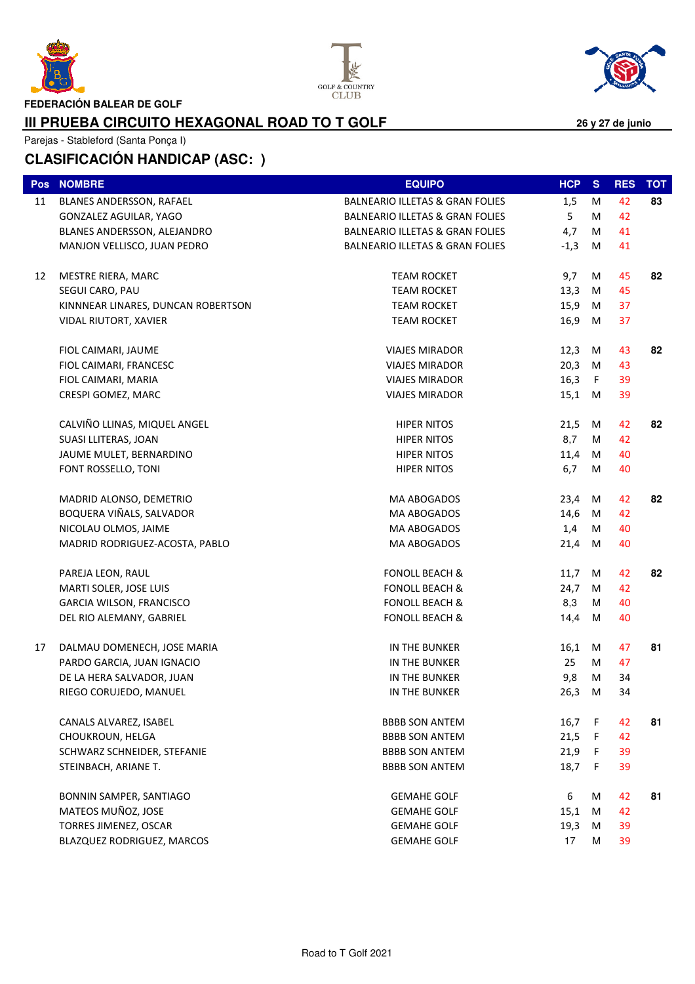





**FEDERACIÓN BALEAR DE GOLF**

#### **III PRUEBA CIRCUITO HEXAGONAL ROAD TO T GOLF**

Parejas - Stableford (Santa Ponça I)

| Pos | <b>NOMBRE</b>                      | <b>EQUIPO</b>                              | <b>HCP</b> | <sub>S</sub> | <b>RES</b> | <b>TOT</b> |
|-----|------------------------------------|--------------------------------------------|------------|--------------|------------|------------|
| 11  | BLANES ANDERSSON, RAFAEL           | <b>BALNEARIO ILLETAS &amp; GRAN FOLIES</b> | 1,5        | M            | 42         | 83         |
|     | GONZALEZ AGUILAR, YAGO             | <b>BALNEARIO ILLETAS &amp; GRAN FOLIES</b> | 5          | M            | 42         |            |
|     | BLANES ANDERSSON, ALEJANDRO        | <b>BALNEARIO ILLETAS &amp; GRAN FOLIES</b> | 4,7        | М            | 41         |            |
|     | MANJON VELLISCO, JUAN PEDRO        | <b>BALNEARIO ILLETAS &amp; GRAN FOLIES</b> | $-1,3$     | M            | 41         |            |
| 12  | MESTRE RIERA, MARC                 | <b>TEAM ROCKET</b>                         | 9,7        | M            | 45         | 82         |
|     | SEGUI CARO, PAU                    | <b>TEAM ROCKET</b>                         | 13,3       | M            | 45         |            |
|     | KINNNEAR LINARES, DUNCAN ROBERTSON | <b>TEAM ROCKET</b>                         | 15,9       | M            | 37         |            |
|     | VIDAL RIUTORT, XAVIER              | <b>TEAM ROCKET</b>                         | 16,9       | M            | 37         |            |
|     | FIOL CAIMARI, JAUME                | <b>VIAJES MIRADOR</b>                      | 12,3       | M            | 43         | 82         |
|     | FIOL CAIMARI, FRANCESC             | <b>VIAJES MIRADOR</b>                      | 20,3       | M            | 43         |            |
|     | FIOL CAIMARI, MARIA                | <b>VIAJES MIRADOR</b>                      | 16,3       | F.           | 39         |            |
|     | CRESPI GOMEZ, MARC                 | <b>VIAJES MIRADOR</b>                      | 15,1 M     |              | 39         |            |
|     | CALVIÑO LLINAS, MIQUEL ANGEL       | <b>HIPER NITOS</b>                         | 21,5       | M            | 42         | 82         |
|     | SUASI LLITERAS, JOAN               | <b>HIPER NITOS</b>                         | 8,7        | м            | 42         |            |
|     | JAUME MULET, BERNARDINO            | HIPER NITOS                                | 11,4       | M            | 40         |            |
|     | FONT ROSSELLO, TONI                | <b>HIPER NITOS</b>                         | 6,7        | M            | 40         |            |
|     | MADRID ALONSO, DEMETRIO            | MA ABOGADOS                                | 23,4       | M            | 42         | 82         |
|     | BOQUERA VIÑALS, SALVADOR           | MA ABOGADOS                                | 14,6       | M            | 42         |            |
|     | NICOLAU OLMOS, JAIME               | MA ABOGADOS                                | 1,4        | M            | 40         |            |
|     | MADRID RODRIGUEZ-ACOSTA, PABLO     | MA ABOGADOS                                | 21,4       | M            | 40         |            |
|     | PAREJA LEON, RAUL                  | <b>FONOLL BEACH &amp;</b>                  | 11,7       | M            | 42         | 82         |
|     | MARTI SOLER, JOSE LUIS             | <b>FONOLL BEACH &amp;</b>                  | 24,7       | M            | 42         |            |
|     | GARCIA WILSON, FRANCISCO           | <b>FONOLL BEACH &amp;</b>                  | 8,3        | м            | 40         |            |
|     | DEL RIO ALEMANY, GABRIEL           | <b>FONOLL BEACH &amp;</b>                  | 14,4       | M            | 40         |            |
| 17  | DALMAU DOMENECH, JOSE MARIA        | IN THE BUNKER                              | 16,1       | M            | 47         | 81         |
|     | PARDO GARCIA, JUAN IGNACIO         | IN THE BUNKER                              | 25         | М            | 47         |            |
|     | DE LA HERA SALVADOR, JUAN          | IN THE BUNKER                              | 9,8        | M            | 34         |            |
|     | RIEGO CORUJEDO, MANUEL             | IN THE BUNKER                              | 26,3       | M            | 34         |            |
|     | CANALS ALVAREZ, ISABEL             | <b>BBBB SON ANTEM</b>                      | 16,7 F     |              | 42         | 81         |
|     | CHOUKROUN, HELGA                   | <b>BBBB SON ANTEM</b>                      | 21,5       | F.           | 42         |            |
|     | SCHWARZ SCHNEIDER, STEFANIE        | <b>BBBB SON ANTEM</b>                      | 21,9       | F.           | 39         |            |
|     | STEINBACH, ARIANE T.               | <b>BBBB SON ANTEM</b>                      | 18,7       | F.           | 39         |            |
|     | BONNIN SAMPER, SANTIAGO            | <b>GEMAHE GOLF</b>                         | 6          | М            | 42         | 81         |
|     | MATEOS MUÑOZ, JOSE                 | <b>GEMAHE GOLF</b>                         | 15,1       | M            | 42         |            |
|     | TORRES JIMENEZ, OSCAR              | <b>GEMAHE GOLF</b>                         | 19,3       | M            | 39         |            |
|     | BLAZQUEZ RODRIGUEZ, MARCOS         | <b>GEMAHE GOLF</b>                         | 17         | м            | 39         |            |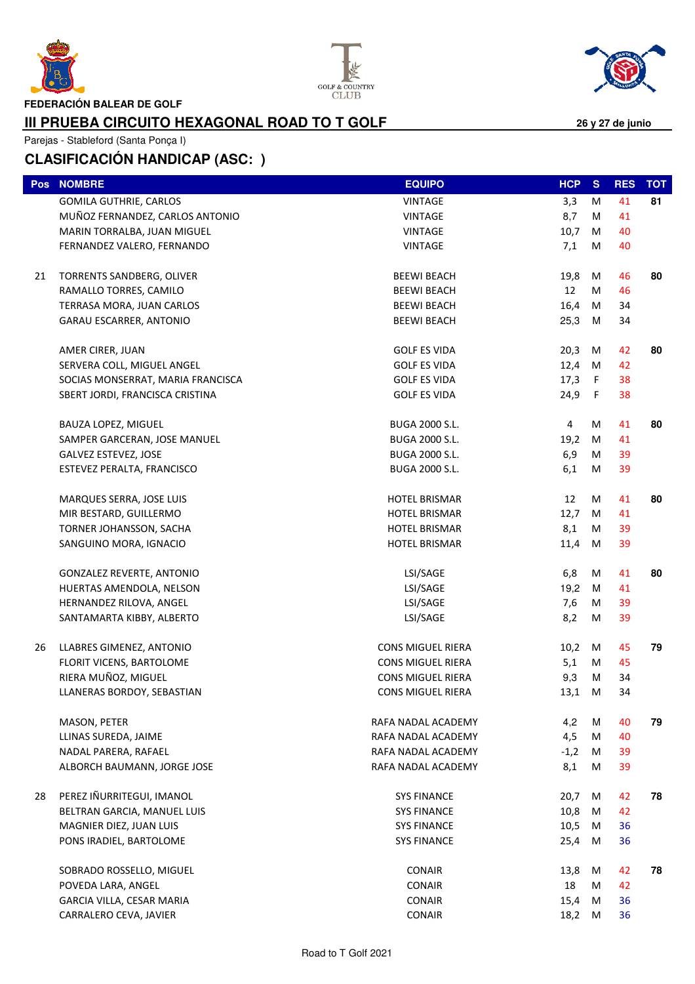





**FEDERACIÓN BALEAR DE GOLF**

#### **III PRUEBA CIRCUITO HEXAGONAL ROAD TO T GOLF**

Parejas - Stableford (Santa Ponça I)

| <b>Pos</b> | <b>NOMBRE</b>                     | <b>EQUIPO</b>            | HCP          | <sub>S</sub> | <b>RES</b> | <b>TOT</b> |
|------------|-----------------------------------|--------------------------|--------------|--------------|------------|------------|
|            | GOMILA GUTHRIE, CARLOS            | VINTAGE                  | 3,3          | M            | 41         | 81         |
|            | MUÑOZ FERNANDEZ, CARLOS ANTONIO   | <b>VINTAGE</b>           | 8,7          | м            | 41         |            |
|            | MARIN TORRALBA, JUAN MIGUEL       | VINTAGE                  | 10,7         | M            | 40         |            |
|            | FERNANDEZ VALERO, FERNANDO        | <b>VINTAGE</b>           | 7,1          | M            | 40         |            |
|            |                                   |                          |              |              |            |            |
| 21         | TORRENTS SANDBERG, OLIVER         | <b>BEEWI BEACH</b>       | 19,8         | M            | 46         | 80         |
|            | RAMALLO TORRES, CAMILO            | <b>BEEWI BEACH</b>       | 12           | M            | 46         |            |
|            | TERRASA MORA, JUAN CARLOS         | <b>BEEWI BEACH</b>       | 16,4         | M            | 34         |            |
|            | GARAU ESCARRER, ANTONIO           | <b>BEEWI BEACH</b>       | 25,3         | M            | 34         |            |
|            | AMER CIRER, JUAN                  | <b>GOLF ES VIDA</b>      | 20,3         | M            | 42         | 80         |
|            | SERVERA COLL, MIGUEL ANGEL        | <b>GOLF ES VIDA</b>      | 12,4         | M            | 42         |            |
|            | SOCIAS MONSERRAT, MARIA FRANCISCA | <b>GOLF ES VIDA</b>      | 17,3 $F$     |              | 38         |            |
|            | SBERT JORDI, FRANCISCA CRISTINA   | <b>GOLF ES VIDA</b>      | 24,9 F       |              | 38         |            |
|            |                                   |                          |              |              |            |            |
|            | BAUZA LOPEZ, MIGUEL               | <b>BUGA 2000 S.L.</b>    | 4            | M            | 41         | 80         |
|            | SAMPER GARCERAN, JOSE MANUEL      | BUGA 2000 S.L.           | 19,2         | M            | 41         |            |
|            | <b>GALVEZ ESTEVEZ, JOSE</b>       | BUGA 2000 S.L.           | 6,9          | M            | 39         |            |
|            | ESTEVEZ PERALTA, FRANCISCO        | BUGA 2000 S.L.           | 6,1          | M            | 39         |            |
|            |                                   |                          |              |              |            |            |
|            | MARQUES SERRA, JOSE LUIS          | <b>HOTEL BRISMAR</b>     | 12           | M            | 41         | 80         |
|            | MIR BESTARD, GUILLERMO            | <b>HOTEL BRISMAR</b>     | 12,7         | M            | 41         |            |
|            | TORNER JOHANSSON, SACHA           | <b>HOTEL BRISMAR</b>     | 8,1          | M            | 39         |            |
|            | SANGUINO MORA, IGNACIO            | <b>HOTEL BRISMAR</b>     | 11,4         | M            | 39         |            |
|            | <b>GONZALEZ REVERTE, ANTONIO</b>  | LSI/SAGE                 | 6,8          | M            | 41         | 80         |
|            | HUERTAS AMENDOLA, NELSON          | LSI/SAGE                 | 19,2         | М            | 41         |            |
|            | HERNANDEZ RILOVA, ANGEL           | LSI/SAGE                 | 7,6          | M            | 39         |            |
|            | SANTAMARTA KIBBY, ALBERTO         | LSI/SAGE                 | 8,2          | M            | 39         |            |
|            |                                   |                          |              |              |            |            |
| 26         | LLABRES GIMENEZ, ANTONIO          | <b>CONS MIGUEL RIERA</b> | 10,2         | M            | 45         | 79         |
|            | FLORIT VICENS, BARTOLOME          | <b>CONS MIGUEL RIERA</b> | 5,1          | M            | 45         |            |
|            | RIERA MUÑOZ, MIGUEL               | <b>CONS MIGUEL RIERA</b> | 9,3          | M            | 34         |            |
|            | LLANERAS BORDOY, SEBASTIAN        | <b>CONS MIGUEL RIERA</b> | 13,1         | M            | 34         |            |
|            | MASON, PETER                      | RAFA NADAL ACADEMY       | 4,2          | м            | 40         | 79         |
|            | LLINAS SUREDA, JAIME              | RAFA NADAL ACADEMY       | 4,5          | M            | 40         |            |
|            | NADAL PARERA, RAFAEL              | RAFA NADAL ACADEMY       | $-1,2$       | M            | 39         |            |
|            | ALBORCH BAUMANN, JORGE JOSE       | RAFA NADAL ACADEMY       | 8,1          | M            | 39         |            |
| 28         | PEREZ IÑURRITEGUI, IMANOL         | <b>SYS FINANCE</b>       |              | M            | 42         | 78         |
|            | BELTRAN GARCIA, MANUEL LUIS       | <b>SYS FINANCE</b>       | 20,7<br>10,8 | M            | 42         |            |
|            | MAGNIER DIEZ, JUAN LUIS           | <b>SYS FINANCE</b>       | 10,5         | M            | 36         |            |
|            | PONS IRADIEL, BARTOLOME           | <b>SYS FINANCE</b>       | 25,4         | M            | 36         |            |
|            |                                   |                          |              |              |            |            |
|            | SOBRADO ROSSELLO, MIGUEL          | <b>CONAIR</b>            | 13,8         | M            | 42         | 78         |
|            | POVEDA LARA, ANGEL                | <b>CONAIR</b>            | 18           | M            | 42         |            |
|            | GARCIA VILLA, CESAR MARIA         | <b>CONAIR</b>            | 15,4         | M            | 36         |            |
|            | CARRALERO CEVA, JAVIER            | <b>CONAIR</b>            | 18,2 M       |              | 36         |            |
|            |                                   |                          |              |              |            |            |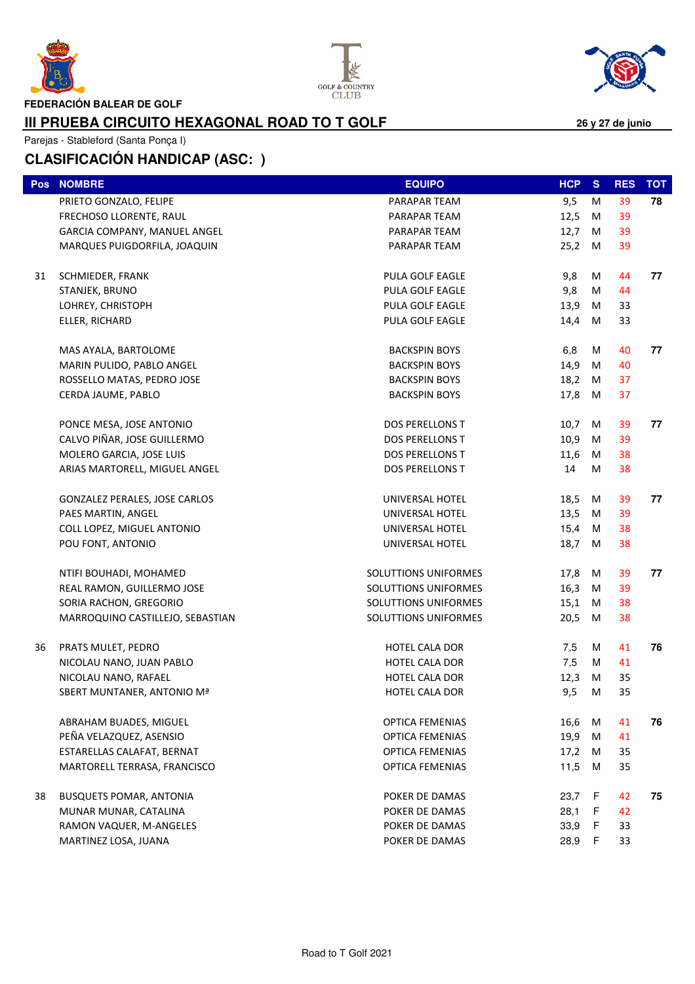





**FEDERACIÓN BALEAR DE GOLF**

#### **III PRUEBA CIRCUITO HEXAGONAL ROAD TO T GOLF**

Parejas - Stableford (Santa Ponça I)

| Pos | <b>NOMBRE</b>                    | <b>EQUIPO</b>          | HCP    | <sub>S</sub> | <b>RES</b> | <b>TOT</b> |
|-----|----------------------------------|------------------------|--------|--------------|------------|------------|
|     | PRIETO GONZALO, FELIPE           | PARAPAR TEAM           | 9,5    | M            | 39         | 78         |
|     | FRECHOSO LLORENTE, RAUL          | PARAPAR TEAM           | 12,5   | M            | 39         |            |
|     | GARCIA COMPANY, MANUEL ANGEL     | PARAPAR TEAM           | 12,7   | M            | 39         |            |
|     | MARQUES PUIGDORFILA, JOAQUIN     | PARAPAR TEAM           | 25,2   | M            | 39         |            |
|     |                                  |                        |        |              |            |            |
| 31  | SCHMIEDER, FRANK                 | PULA GOLF EAGLE        | 9,8    | M            | 44         | 77         |
|     | STANJEK, BRUNO                   | PULA GOLF EAGLE        | 9,8    | M            | 44         |            |
|     | LOHREY, CHRISTOPH                | PULA GOLF EAGLE        | 13,9   | M            | 33         |            |
|     | ELLER, RICHARD                   | PULA GOLF EAGLE        | 14,4   | M            | 33         |            |
|     |                                  |                        |        |              |            |            |
|     | MAS AYALA, BARTOLOME             | <b>BACKSPIN BOYS</b>   | 6,8    | м            | 40         | 77         |
|     | MARIN PULIDO, PABLO ANGEL        | <b>BACKSPIN BOYS</b>   | 14,9   | M            | 40         |            |
|     | ROSSELLO MATAS, PEDRO JOSE       | <b>BACKSPIN BOYS</b>   | 18,2   | M            | 37         |            |
|     | CERDA JAUME, PABLO               | <b>BACKSPIN BOYS</b>   | 17,8 M |              | 37         |            |
|     | PONCE MESA, JOSE ANTONIO         | DOS PERELLONS T        | 10,7   | M            | 39         | 77         |
|     | CALVO PIÑAR, JOSE GUILLERMO      | <b>DOS PERELLONS T</b> | 10,9   | M            | 39         |            |
|     | MOLERO GARCIA, JOSE LUIS         | DOS PERELLONS T        | 11,6   | M            | 38         |            |
|     | ARIAS MARTORELL, MIGUEL ANGEL    | <b>DOS PERELLONS T</b> | 14     | M            | 38         |            |
|     |                                  |                        |        |              |            |            |
|     | GONZALEZ PERALES, JOSE CARLOS    | UNIVERSAL HOTEL        | 18,5   | M            | 39         | 77         |
|     | PAES MARTIN, ANGEL               | UNIVERSAL HOTEL        | 13,5   | M            | 39         |            |
|     | COLL LOPEZ, MIGUEL ANTONIO       | UNIVERSAL HOTEL        | 15,4   | М            | 38         |            |
|     | POU FONT, ANTONIO                | UNIVERSAL HOTEL        | 18,7   | M            | 38         |            |
|     |                                  |                        |        |              |            |            |
|     | NTIFI BOUHADI, MOHAMED           | SOLUTTIONS UNIFORMES   | 17,8 M |              | 39         | 77         |
|     | REAL RAMON, GUILLERMO JOSE       | SOLUTTIONS UNIFORMES   | 16,3   | M            | 39         |            |
|     | SORIA RACHON, GREGORIO           | SOLUTTIONS UNIFORMES   | 15,1   | M            | 38         |            |
|     | MARROQUINO CASTILLEJO, SEBASTIAN | SOLUTTIONS UNIFORMES   | 20,5   | M            | 38         |            |
| 36  | PRATS MULET, PEDRO               | <b>HOTEL CALA DOR</b>  | 7,5    | М            | 41         | 76         |
|     | NICOLAU NANO, JUAN PABLO         | HOTEL CALA DOR         | 7,5    | M            | 41         |            |
|     | NICOLAU NANO, RAFAEL             | HOTEL CALA DOR         | 12,3   | M            | 35         |            |
|     | SBERT MUNTANER, ANTONIO Mª       | HOTEL CALA DOR         | 9,5    | M            | 35         |            |
|     |                                  |                        |        |              |            |            |
|     | ABRAHAM BUADES, MIGUEL           | <b>OPTICA FEMENIAS</b> | 16,6   | M            | 41         | 76         |
|     | PEÑA VELAZQUEZ, ASENSIO          | <b>OPTICA FEMENIAS</b> | 19,9   | M            | 41         |            |
|     | ESTARELLAS CALAFAT, BERNAT       | <b>OPTICA FEMENIAS</b> | 17,2   | M            | 35         |            |
|     | MARTORELL TERRASA, FRANCISCO     | <b>OPTICA FEMENIAS</b> | 11,5   | М            | 35         |            |
|     |                                  |                        |        |              |            |            |
| 38  | <b>BUSQUETS POMAR, ANTONIA</b>   | POKER DE DAMAS         | 23,7   | F            | 42         | 75         |
|     | MUNAR MUNAR, CATALINA            | POKER DE DAMAS         | 28,1   | F            | 42         |            |
|     | RAMON VAQUER, M-ANGELES          | POKER DE DAMAS         | 33,9   | F            | 33         |            |
|     | MARTINEZ LOSA, JUANA             | POKER DE DAMAS         | 28,9   | F            | 33         |            |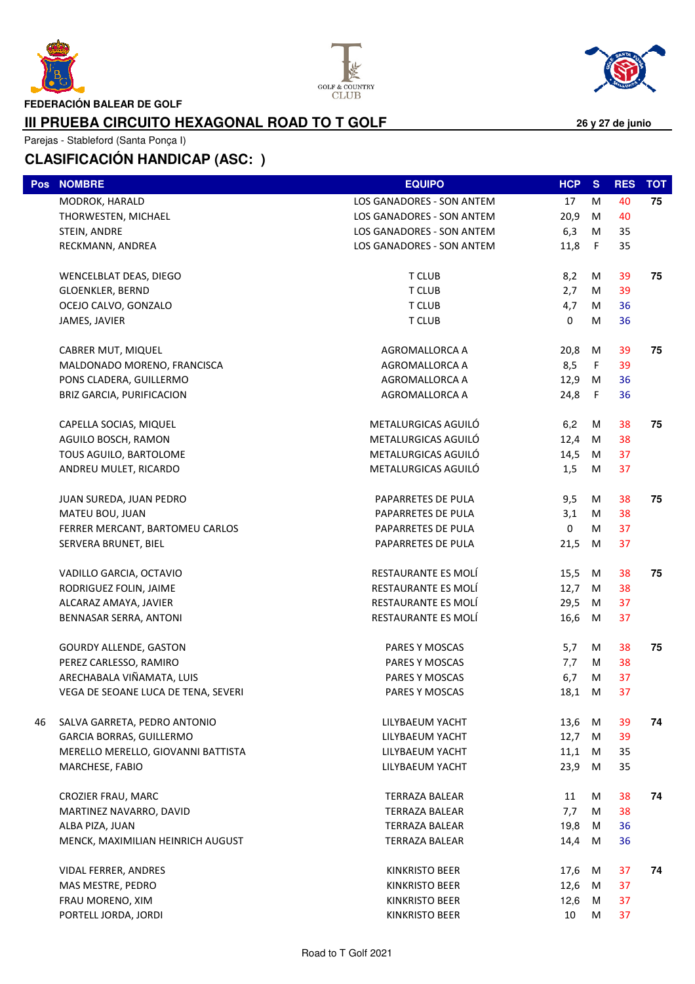





**III PRUEBA CIRCUITO HEXAGONAL ROAD TO T GOLF**

Parejas - Stableford (Santa Ponça I)

| Pos | <b>NOMBRE</b>                       | <b>EQUIPO</b>             | <b>HCP</b>   | <sub>S</sub> | <b>RES</b> | <b>TOT</b> |
|-----|-------------------------------------|---------------------------|--------------|--------------|------------|------------|
|     | MODROK, HARALD                      | LOS GANADORES - SON ANTEM | 17           | M            | 40         | 75         |
|     | THORWESTEN, MICHAEL                 | LOS GANADORES - SON ANTEM | 20,9         | M            | 40         |            |
|     | STEIN, ANDRE                        | LOS GANADORES - SON ANTEM | 6,3          | M            | 35         |            |
|     | RECKMANN, ANDREA                    | LOS GANADORES - SON ANTEM | 11,8         | $\mathsf F$  | 35         |            |
|     | WENCELBLAT DEAS, DIEGO              | T CLUB                    | 8,2          | M            | 39         | 75         |
|     | GLOENKLER, BERND                    | <b>T CLUB</b>             | 2,7          | M            | 39         |            |
|     | OCEJO CALVO, GONZALO                | T CLUB                    | 4,7          | M            | 36         |            |
|     | JAMES, JAVIER                       | T CLUB                    | 0            | M            | 36         |            |
|     | CABRER MUT, MIQUEL                  | AGROMALLORCA A            | 20,8         | M            | 39         | 75         |
|     | MALDONADO MORENO, FRANCISCA         | AGROMALLORCA A            | 8,5          | $\mathsf F$  | 39         |            |
|     | PONS CLADERA, GUILLERMO             | AGROMALLORCA A            | 12,9         | M            | 36         |            |
|     | BRIZ GARCIA, PURIFICACION           | AGROMALLORCA A            | 24,8         | F            | 36         |            |
|     | CAPELLA SOCIAS, MIQUEL              | METALURGICAS AGUILÓ       | 6,2          | М            | 38         | 75         |
|     | AGUILO BOSCH, RAMON                 | METALURGICAS AGUILÓ       | 12,4         | M            | 38         |            |
|     | TOUS AGUILO, BARTOLOME              | METALURGICAS AGUILÓ       | 14,5         | M            | 37         |            |
|     | ANDREU MULET, RICARDO               | METALURGICAS AGUILÓ       | 1,5          | M            | 37         |            |
|     | JUAN SUREDA, JUAN PEDRO             | PAPARRETES DE PULA        | 9,5          | M            | 38         | 75         |
|     | MATEU BOU, JUAN                     | PAPARRETES DE PULA        | 3,1          | M            | 38         |            |
|     | FERRER MERCANT, BARTOMEU CARLOS     | PAPARRETES DE PULA        | $\mathbf{0}$ | М            | 37         |            |
|     | SERVERA BRUNET, BIEL                | PAPARRETES DE PULA        | 21,5         | M            | 37         |            |
|     | VADILLO GARCIA, OCTAVIO             | RESTAURANTE ES MOLÍ       | 15,5         | M            | 38         | 75         |
|     | RODRIGUEZ FOLIN, JAIME              | RESTAURANTE ES MOLÍ       | 12,7         | M            | 38         |            |
|     | ALCARAZ AMAYA, JAVIER               | RESTAURANTE ES MOLÍ       | 29,5         | M            | 37         |            |
|     | BENNASAR SERRA, ANTONI              | RESTAURANTE ES MOLÍ       | 16,6         | M            | 37         |            |
|     | <b>GOURDY ALLENDE, GASTON</b>       | PARES Y MOSCAS            | 5,7          | M            | 38         | 75         |
|     | PEREZ CARLESSO, RAMIRO              | PARES Y MOSCAS            | 7,7          | М            | 38         |            |
|     | ARECHABALA VIÑAMATA, LUIS           | PARES Y MOSCAS            | 6,7          | M            | 37         |            |
|     | VEGA DE SEOANE LUCA DE TENA, SEVERI | PARES Y MOSCAS            | 18,1         | M            | 37         |            |
| 46  | SALVA GARRETA, PEDRO ANTONIO        | LILYBAEUM YACHT           | 13,6         | M            | 39         | 74         |
|     | <b>GARCIA BORRAS, GUILLERMO</b>     | LILYBAEUM YACHT           | 12,7         | M            | 39         |            |
|     | MERELLO MERELLO, GIOVANNI BATTISTA  | LILYBAEUM YACHT           | 11,1         | M            | 35         |            |
|     | MARCHESE, FABIO                     | LILYBAEUM YACHT           | 23,9         | M            | 35         |            |
|     | CROZIER FRAU, MARC                  | <b>TERRAZA BALEAR</b>     | 11           | М            | 38         | 74         |
|     | MARTINEZ NAVARRO, DAVID             | <b>TERRAZA BALEAR</b>     | 7,7          | м            | 38         |            |
|     | ALBA PIZA, JUAN                     | TERRAZA BALEAR            | 19,8         | М            | 36         |            |
|     | MENCK, MAXIMILIAN HEINRICH AUGUST   | <b>TERRAZA BALEAR</b>     | 14,4         | M            | 36         |            |
|     | VIDAL FERRER, ANDRES                | <b>KINKRISTO BEER</b>     | 17,6         | M            | 37         | 74         |
|     | MAS MESTRE, PEDRO                   | KINKRISTO BEER            | 12,6         | M            | 37         |            |
|     | FRAU MORENO, XIM                    | KINKRISTO BEER            | 12,6         | M            | 37         |            |
|     | PORTELL JORDA, JORDI                | <b>KINKRISTO BEER</b>     | 10           | м            | 37         |            |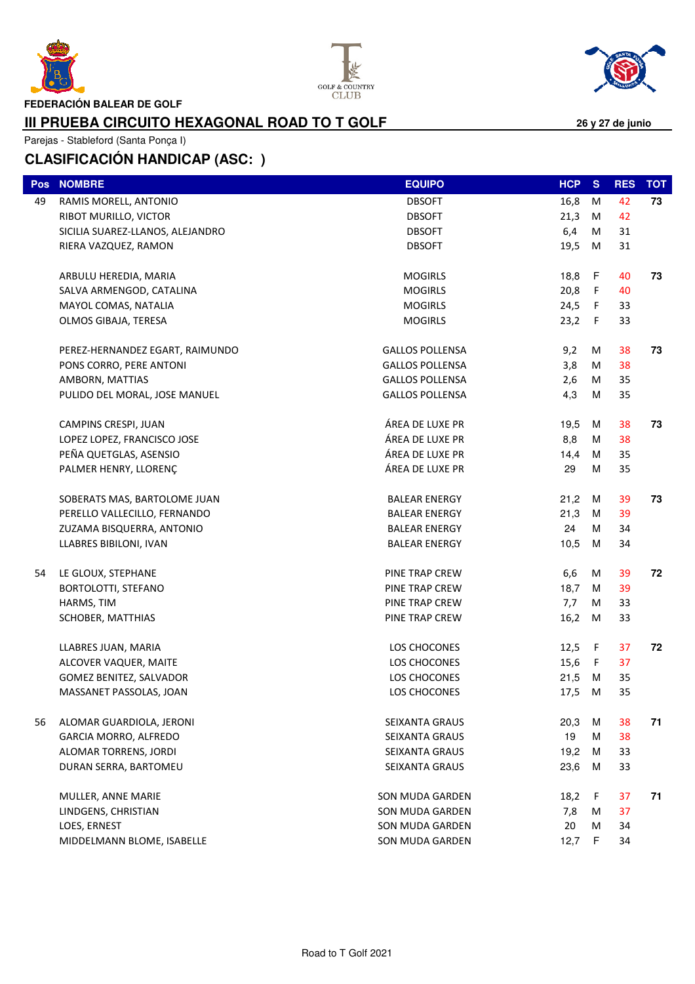





**FEDERACIÓN BALEAR DE GOLF**

#### **III PRUEBA CIRCUITO HEXAGONAL ROAD TO T GOLF**

Parejas - Stableford (Santa Ponça I)

| Pos | <b>NOMBRE</b>                    | <b>EQUIPO</b>          | HCP S    |             | <b>RES</b> | <b>TOT</b> |
|-----|----------------------------------|------------------------|----------|-------------|------------|------------|
| 49  | RAMIS MORELL, ANTONIO            | <b>DBSOFT</b>          | 16,8     | M           | 42         | 73         |
|     | RIBOT MURILLO, VICTOR            | <b>DBSOFT</b>          | 21,3     | M           | 42         |            |
|     | SICILIA SUAREZ-LLANOS, ALEJANDRO | <b>DBSOFT</b>          | 6,4      | M           | 31         |            |
|     | RIERA VAZQUEZ, RAMON             | <b>DBSOFT</b>          | 19,5     | M           | 31         |            |
|     | ARBULU HEREDIA, MARIA            | <b>MOGIRLS</b>         | 18,8 F   |             | 40         | 73         |
|     | SALVA ARMENGOD, CATALINA         | <b>MOGIRLS</b>         | 20,8     | $\mathsf F$ | 40         |            |
|     | MAYOL COMAS, NATALIA             | <b>MOGIRLS</b>         | 24,5 F   |             | 33         |            |
|     | OLMOS GIBAJA, TERESA             | <b>MOGIRLS</b>         | 23,2     | $-F$        | 33         |            |
|     |                                  | <b>GALLOS POLLENSA</b> | 9,2      | M           | 38         | 73         |
|     | PEREZ-HERNANDEZ EGART, RAIMUNDO  | <b>GALLOS POLLENSA</b> |          | M           | 38         |            |
|     | PONS CORRO, PERE ANTONI          | <b>GALLOS POLLENSA</b> | 3,8      |             | 35         |            |
|     | AMBORN, MATTIAS                  |                        | 2,6      | M           |            |            |
|     | PULIDO DEL MORAL, JOSE MANUEL    | <b>GALLOS POLLENSA</b> | 4,3      | M           | 35         |            |
|     | CAMPINS CRESPI, JUAN             | ÁREA DE LUXE PR        | 19,5     | М           | 38         | 73         |
|     | LOPEZ LOPEZ, FRANCISCO JOSE      | ÁREA DE LUXE PR        | 8,8      | м           | 38         |            |
|     | PEÑA QUETGLAS, ASENSIO           | ÁREA DE LUXE PR        | 14,4     | М           | 35         |            |
|     | PALMER HENRY, LLORENÇ            | ÁREA DE LUXE PR        | 29       | M           | 35         |            |
|     | SOBERATS MAS, BARTOLOME JUAN     | <b>BALEAR ENERGY</b>   | 21,2     | М           | 39         | 73         |
|     | PERELLO VALLECILLO, FERNANDO     | <b>BALEAR ENERGY</b>   | 21,3     | М           | 39         |            |
|     | ZUZAMA BISQUERRA, ANTONIO        | <b>BALEAR ENERGY</b>   | 24       | M           | 34         |            |
|     | LLABRES BIBILONI, IVAN           | <b>BALEAR ENERGY</b>   | 10,5     | M           | 34         |            |
| 54  | LE GLOUX, STEPHANE               | PINE TRAP CREW         | 6,6      | M           | 39         | 72         |
|     | BORTOLOTTI, STEFANO              | PINE TRAP CREW         | 18,7     | М           | 39         |            |
|     | HARMS, TIM                       | PINE TRAP CREW         | 7,7      | M           | 33         |            |
|     | SCHOBER, MATTHIAS                | PINE TRAP CREW         | 16,2     | M           | 33         |            |
|     |                                  |                        |          |             |            |            |
|     | LLABRES JUAN, MARIA              | LOS CHOCONES           | 12,5 $F$ |             | 37         | 72         |
|     | ALCOVER VAQUER, MAITE            | LOS CHOCONES           | 15,6     | F.          | 37         |            |
|     | GOMEZ BENITEZ, SALVADOR          | LOS CHOCONES           | 21,5     | М           | 35         |            |
|     | MASSANET PASSOLAS, JOAN          | LOS CHOCONES           | 17,5     | M           | 35         |            |
| 56  | ALOMAR GUARDIOLA, JERONI         | SEIXANTA GRAUS         | 20,3     | м           | 38         | 71         |
|     | <b>GARCIA MORRO, ALFREDO</b>     | <b>SEIXANTA GRAUS</b>  | 19       | м           | 38         |            |
|     | ALOMAR TORRENS, JORDI            | <b>SEIXANTA GRAUS</b>  | 19,2     | м           | 33         |            |
|     | DURAN SERRA, BARTOMEU            | SEIXANTA GRAUS         | 23,6     | м           | 33         |            |
|     |                                  |                        |          |             |            |            |
|     | MULLER, ANNE MARIE               | SON MUDA GARDEN        | 18,2     | F           | 37         | 71         |
|     | LINDGENS, CHRISTIAN              | SON MUDA GARDEN        | 7,8      | M           | 37         |            |
|     | LOES, ERNEST                     | SON MUDA GARDEN        | 20       | M           | 34         |            |
|     | MIDDELMANN BLOME, ISABELLE       | SON MUDA GARDEN        | 12,7     | F.          | 34         |            |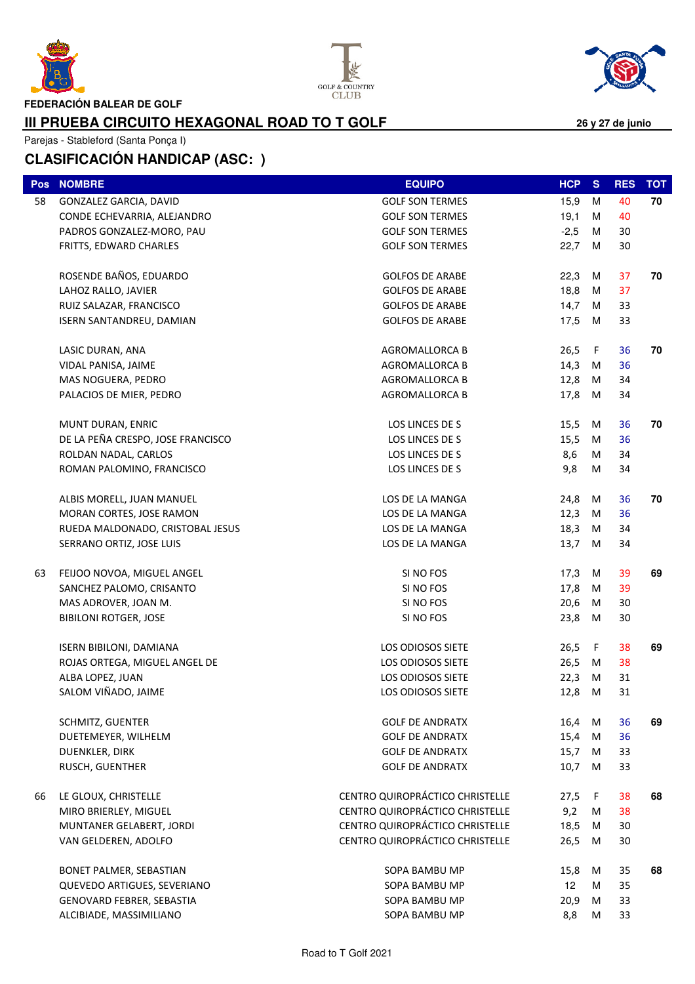

I





**26 y 27 de junio**

**FEDERACIÓN BALEAR DE GOLF**

#### **III PRUEBA CIRCUITO HEXAGONAL ROAD TO T GOLF**

Parejas - Stableford (Santa Ponça I)

|    | Pos NOMBRE                        | <b>EQUIPO</b>                   | HCP             | <b>S</b> | <b>RES</b> | <b>TOT</b> |
|----|-----------------------------------|---------------------------------|-----------------|----------|------------|------------|
| 58 | GONZALEZ GARCIA, DAVID            | <b>GOLF SON TERMES</b>          | 15,9            | М        | 40         | 70         |
|    | CONDE ECHEVARRIA, ALEJANDRO       | <b>GOLF SON TERMES</b>          | 19,1            | М        | 40         |            |
|    | PADROS GONZALEZ-MORO, PAU         | <b>GOLF SON TERMES</b>          | $-2,5$          | М        | 30         |            |
|    | FRITTS, EDWARD CHARLES            | <b>GOLF SON TERMES</b>          | 22,7            | M        | 30         |            |
|    |                                   |                                 |                 |          |            |            |
|    | ROSENDE BAÑOS, EDUARDO            | <b>GOLFOS DE ARABE</b>          | 22,3            | M        | 37         | 70         |
|    | LAHOZ RALLO, JAVIER               | <b>GOLFOS DE ARABE</b>          | 18,8            | M        | 37         |            |
|    | RUIZ SALAZAR, FRANCISCO           | <b>GOLFOS DE ARABE</b>          | 14,7            | M        | 33         |            |
|    | ISERN SANTANDREU, DAMIAN          | <b>GOLFOS DE ARABE</b>          | 17,5            | M        | 33         |            |
|    | LASIC DURAN, ANA                  | AGROMALLORCA B                  | 26,5            | F        | 36         | 70         |
|    | VIDAL PANISA, JAIME               | <b>AGROMALLORCA B</b>           | 14,3            | M        | 36         |            |
|    | MAS NOGUERA, PEDRO                | AGROMALLORCA B                  | 12,8            | M        | 34         |            |
|    | PALACIOS DE MIER, PEDRO           | <b>AGROMALLORCA B</b>           | 17,8 M          |          | 34         |            |
|    | MUNT DURAN, ENRIC                 | LOS LINCES DE S                 | 15,5            | M        | 36         | 70         |
|    | DE LA PEÑA CRESPO, JOSE FRANCISCO | LOS LINCES DE S                 | 15,5            | M        | 36         |            |
|    | ROLDAN NADAL, CARLOS              | LOS LINCES DE S                 | 8,6             | M        | 34         |            |
|    | ROMAN PALOMINO, FRANCISCO         | LOS LINCES DE S                 | 9,8             | M        | 34         |            |
|    |                                   |                                 |                 |          |            |            |
|    | ALBIS MORELL, JUAN MANUEL         | LOS DE LA MANGA                 | 24,8            | M        | 36         | 70         |
|    | MORAN CORTES, JOSE RAMON          | LOS DE LA MANGA                 | 12,3            | M        | 36         |            |
|    | RUEDA MALDONADO, CRISTOBAL JESUS  | LOS DE LA MANGA                 | 18,3            | M        | 34         |            |
|    | SERRANO ORTIZ, JOSE LUIS          | LOS DE LA MANGA                 | 13,7            | M        | 34         |            |
| 63 | FEIJOO NOVOA, MIGUEL ANGEL        | SI NO FOS                       | 17,3            | M        | 39         | 69         |
|    | SANCHEZ PALOMO, CRISANTO          | SI NO FOS                       | 17,8            | M        | 39         |            |
|    | MAS ADROVER, JOAN M.              | SI NO FOS                       | 20,6            | M        | 30         |            |
|    | <b>BIBILONI ROTGER, JOSE</b>      | SI NO FOS                       | 23,8            | M        | 30         |            |
|    | <b>ISERN BIBILONI, DAMIANA</b>    | LOS ODIOSOS SIETE               | 26,5            | $-F$     | 38         | 69         |
|    | ROJAS ORTEGA, MIGUEL ANGEL DE     | LOS ODIOSOS SIETE               | 26,5            | M        | 38         |            |
|    | ALBA LOPEZ, JUAN                  | LOS ODIOSOS SIETE               | 22,3            | M        | 31         |            |
|    | SALOM VIÑADO, JAIME               | LOS ODIOSOS SIETE               | 12,8            | M        | 31         |            |
|    | SCHMITZ, GUENTER                  | <b>GOLF DE ANDRATX</b>          | 16,4            | M        | 36         | 69         |
|    | DUETEMEYER, WILHELM               | <b>GOLF DE ANDRATX</b>          | 15,4            | M        | 36         |            |
|    | DUENKLER, DIRK                    | <b>GOLF DE ANDRATX</b>          | 15,7            | M        | 33         |            |
|    | RUSCH, GUENTHER                   | <b>GOLF DE ANDRATX</b>          | 10,7            | M        | 33         |            |
|    |                                   |                                 |                 |          |            |            |
| 66 | LE GLOUX, CHRISTELLE              | CENTRO QUIROPRÁCTICO CHRISTELLE | 27,5            | F.       | 38         | 68         |
|    | MIRO BRIERLEY, MIGUEL             | CENTRO QUIROPRÁCTICO CHRISTELLE | 9,2             | M        | 38         |            |
|    | MUNTANER GELABERT, JORDI          | CENTRO QUIROPRÁCTICO CHRISTELLE | 18,5            | М        | 30         |            |
|    | VAN GELDEREN, ADOLFO              | CENTRO QUIROPRÁCTICO CHRISTELLE | 26,5            | M        | 30         |            |
|    | BONET PALMER, SEBASTIAN           | SOPA BAMBU MP                   | 15,8            | M        | 35         | 68         |
|    | QUEVEDO ARTIGUES, SEVERIANO       | SOPA BAMBU MP                   | 12 <sup>°</sup> | м        | 35         |            |
|    | GENOVARD FEBRER, SEBASTIA         | SOPA BAMBU MP                   | 20,9            | M        | 33         |            |
|    | ALCIBIADE, MASSIMILIANO           | SOPA BAMBU MP                   | 8,8             | M        | 33         |            |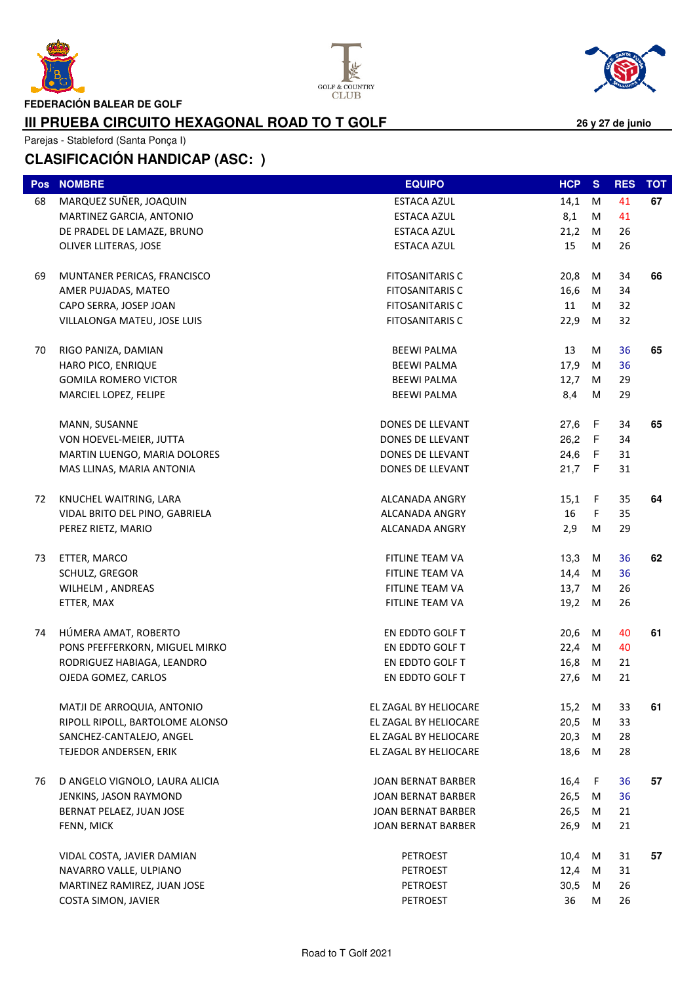

I





**26 y 27 de junio**

**FEDERACIÓN BALEAR DE GOLF**

### **III PRUEBA CIRCUITO HEXAGONAL ROAD TO T GOLF**

Parejas - Stableford (Santa Ponça I)

| <b>Pos</b> | <b>NOMBRE</b>                   | <b>EQUIPO</b>             | HCP      | <sub>S</sub> | <b>RES</b> | <b>TOT</b> |
|------------|---------------------------------|---------------------------|----------|--------------|------------|------------|
| 68         | MARQUEZ SUÑER, JOAQUIN          | <b>ESTACA AZUL</b>        | 14,1     | M            | 41         | 67         |
|            | MARTINEZ GARCIA, ANTONIO        | <b>ESTACA AZUL</b>        | 8,1      | M            | 41         |            |
|            | DE PRADEL DE LAMAZE, BRUNO      | ESTACA AZUL               | 21,2     | M            | 26         |            |
|            | OLIVER LLITERAS, JOSE           | ESTACA AZUL               | 15       | M            | 26         |            |
| 69         | MUNTANER PERICAS, FRANCISCO     | <b>FITOSANITARIS C</b>    | 20,8     | M            | 34         | 66         |
|            | AMER PUJADAS, MATEO             | <b>FITOSANITARIS C</b>    | 16,6     | M            | 34         |            |
|            | CAPO SERRA, JOSEP JOAN          | <b>FITOSANITARIS C</b>    | 11       | M            | 32         |            |
|            | VILLALONGA MATEU, JOSE LUIS     | <b>FITOSANITARIS C</b>    | 22,9     | M            | 32         |            |
| 70         | RIGO PANIZA, DAMIAN             | <b>BEEWI PALMA</b>        | 13       | М            | 36         | 65         |
|            | HARO PICO, ENRIQUE              | <b>BEEWI PALMA</b>        | 17,9     | М            | 36         |            |
|            | <b>GOMILA ROMERO VICTOR</b>     | <b>BEEWI PALMA</b>        | 12,7     | M            | 29         |            |
|            | MARCIEL LOPEZ, FELIPE           | <b>BEEWI PALMA</b>        | 8,4      | М            | 29         |            |
|            | MANN, SUSANNE                   | DONES DE LLEVANT          | 27,6 F   |              | 34         | 65         |
|            | VON HOEVEL-MEIER, JUTTA         | DONES DE LLEVANT          | 26,2 F   |              | 34         |            |
|            | MARTIN LUENGO, MARIA DOLORES    | DONES DE LLEVANT          | 24,6     | F            | 31         |            |
|            | MAS LLINAS, MARIA ANTONIA       | DONES DE LLEVANT          | 21,7 F   |              | 31         |            |
| 72         | KNUCHEL WAITRING, LARA          | ALCANADA ANGRY            | $15,1$ F |              | 35         | 64         |
|            | VIDAL BRITO DEL PINO, GABRIELA  | ALCANADA ANGRY            | 16       | F.           | 35         |            |
|            | PEREZ RIETZ, MARIO              | ALCANADA ANGRY            | 2,9      | M            | 29         |            |
| 73         | ETTER, MARCO                    | FITLINE TEAM VA           | 13,3     | M            | 36         | 62         |
|            | SCHULZ, GREGOR                  | FITLINE TEAM VA           | 14,4     | M            | 36         |            |
|            | WILHELM, ANDREAS                | FITLINE TEAM VA           | 13,7     | M            | 26         |            |
|            | ETTER, MAX                      | FITLINE TEAM VA           | 19,2 M   |              | 26         |            |
| 74         | HÚMERA AMAT, ROBERTO            | EN EDDTO GOLF T           | 20,6     | M            | 40         | 61         |
|            | PONS PFEFFERKORN, MIGUEL MIRKO  | EN EDDTO GOLF T           | 22,4     | M            | 40         |            |
|            | RODRIGUEZ HABIAGA, LEANDRO      | EN EDDTO GOLF T           | 16,8     | M            | 21         |            |
|            | OJEDA GOMEZ, CARLOS             | EN EDDTO GOLF T           | 27,6     | M            | 21         |            |
|            | MATJI DE ARROQUIA, ANTONIO      | EL ZAGAL BY HELIOCARE     | 15,2     | M            | 33         | 61         |
|            | RIPOLL RIPOLL, BARTOLOME ALONSO | EL ZAGAL BY HELIOCARE     | 20,5     | М            | 33         |            |
|            | SANCHEZ-CANTALEJO, ANGEL        | EL ZAGAL BY HELIOCARE     | 20,3     | M            | 28         |            |
|            | TEJEDOR ANDERSEN, ERIK          | EL ZAGAL BY HELIOCARE     | 18,6     | M            | 28         |            |
| 76         | D ANGELO VIGNOLO, LAURA ALICIA  | JOAN BERNAT BARBER        | 16,4     | F            | 36         | 57         |
|            | JENKINS, JASON RAYMOND          | JOAN BERNAT BARBER        | 26,5     | M            | 36         |            |
|            | BERNAT PELAEZ, JUAN JOSE        | JOAN BERNAT BARBER        | 26,5     | M            | 21         |            |
|            | FENN, MICK                      | <b>JOAN BERNAT BARBER</b> | 26,9     | M            | 21         |            |
|            | VIDAL COSTA, JAVIER DAMIAN      | <b>PETROEST</b>           | 10,4     | M            | 31         | 57         |
|            | NAVARRO VALLE, ULPIANO          | <b>PETROEST</b>           | 12,4     | M            | 31         |            |
|            | MARTINEZ RAMIREZ, JUAN JOSE     | <b>PETROEST</b>           | 30,5     | М            | 26         |            |
|            | COSTA SIMON, JAVIER             | <b>PETROEST</b>           | 36       | M            | 26         |            |